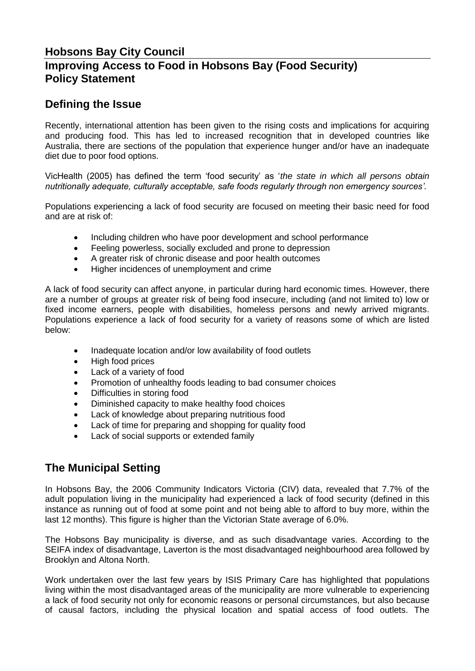## **Hobsons Bay City Council Improving Access to Food in Hobsons Bay (Food Security) Policy Statement**

## **Defining the Issue**

Recently, international attention has been given to the rising costs and implications for acquiring and producing food. This has led to increased recognition that in developed countries like Australia, there are sections of the population that experience hunger and/or have an inadequate diet due to poor food options.

VicHealth (2005) has defined the term 'food security' as '*the state in which all persons obtain nutritionally adequate, culturally acceptable, safe foods regularly through non emergency sources'.*

Populations experiencing a lack of food security are focused on meeting their basic need for food and are at risk of:

- Including children who have poor development and school performance
- Feeling powerless, socially excluded and prone to depression
- A greater risk of chronic disease and poor health outcomes
- Higher incidences of unemployment and crime

A lack of food security can affect anyone, in particular during hard economic times. However, there are a number of groups at greater risk of being food insecure, including (and not limited to) low or fixed income earners, people with disabilities, homeless persons and newly arrived migrants. Populations experience a lack of food security for a variety of reasons some of which are listed below:

- Inadequate location and/or low availability of food outlets
- High food prices
- Lack of a variety of food
- Promotion of unhealthy foods leading to bad consumer choices
- Difficulties in storing food
- Diminished capacity to make healthy food choices
- Lack of knowledge about preparing nutritious food
- Lack of time for preparing and shopping for quality food
- Lack of social supports or extended family

## **The Municipal Setting**

In Hobsons Bay, the 2006 Community Indicators Victoria (CIV) data, revealed that 7.7% of the adult population living in the municipality had experienced a lack of food security (defined in this instance as running out of food at some point and not being able to afford to buy more, within the last 12 months). This figure is higher than the Victorian State average of 6.0%.

The Hobsons Bay municipality is diverse, and as such disadvantage varies. According to the SEIFA index of disadvantage, Laverton is the most disadvantaged neighbourhood area followed by Brooklyn and Altona North.

Work undertaken over the last few years by ISIS Primary Care has highlighted that populations living within the most disadvantaged areas of the municipality are more vulnerable to experiencing a lack of food security not only for economic reasons or personal circumstances, but also because of causal factors, including the physical location and spatial access of food outlets. The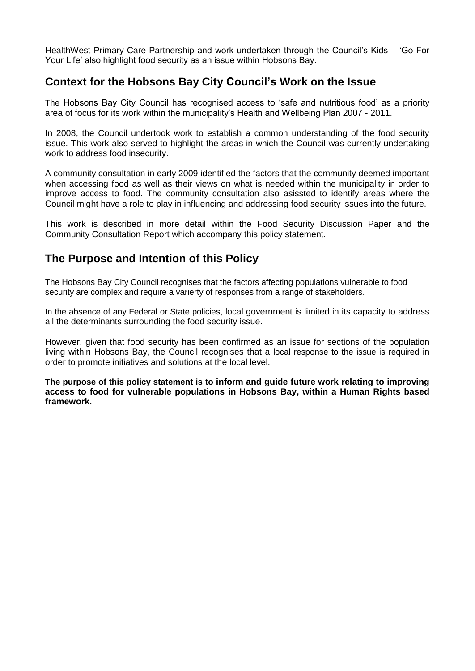HealthWest Primary Care Partnership and work undertaken through the Council's Kids – 'Go For Your Life' also highlight food security as an issue within Hobsons Bay.

## **Context for the Hobsons Bay City Council's Work on the Issue**

The Hobsons Bay City Council has recognised access to 'safe and nutritious food' as a priority area of focus for its work within the municipality's Health and Wellbeing Plan 2007 - 2011.

In 2008, the Council undertook work to establish a common understanding of the food security issue. This work also served to highlight the areas in which the Council was currently undertaking work to address food insecurity.

A community consultation in early 2009 identified the factors that the community deemed important when accessing food as well as their views on what is needed within the municipality in order to improve access to food. The community consultation also asissted to identify areas where the Council might have a role to play in influencing and addressing food security issues into the future.

This work is described in more detail within the Food Security Discussion Paper and the Community Consultation Report which accompany this policy statement.

## **The Purpose and Intention of this Policy**

The Hobsons Bay City Council recognises that the factors affecting populations vulnerable to food security are complex and require a varierty of responses from a range of stakeholders.

In the absence of any Federal or State policies, local government is limited in its capacity to address all the determinants surrounding the food security issue.

However, given that food security has been confirmed as an issue for sections of the population living within Hobsons Bay, the Council recognises that a local response to the issue is required in order to promote initiatives and solutions at the local level.

**The purpose of this policy statement is to inform and guide future work relating to improving access to food for vulnerable populations in Hobsons Bay, within a Human Rights based framework.**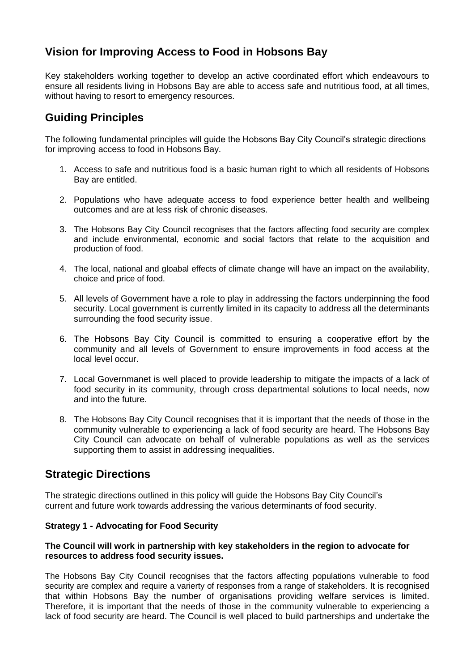# **Vision for Improving Access to Food in Hobsons Bay**

Key stakeholders working together to develop an active coordinated effort which endeavours to ensure all residents living in Hobsons Bay are able to access safe and nutritious food, at all times, without having to resort to emergency resources.

# **Guiding Principles**

The following fundamental principles will guide the Hobsons Bay City Council's strategic directions for improving access to food in Hobsons Bay.

- 1. Access to safe and nutritious food is a basic human right to which all residents of Hobsons Bay are entitled.
- 2. Populations who have adequate access to food experience better health and wellbeing outcomes and are at less risk of chronic diseases.
- 3. The Hobsons Bay City Council recognises that the factors affecting food security are complex and include environmental, economic and social factors that relate to the acquisition and production of food.
- 4. The local, national and gloabal effects of climate change will have an impact on the availability, choice and price of food.
- 5. All levels of Government have a role to play in addressing the factors underpinning the food security. Local government is currently limited in its capacity to address all the determinants surrounding the food security issue.
- 6. The Hobsons Bay City Council is committed to ensuring a cooperative effort by the community and all levels of Government to ensure improvements in food access at the local level occur.
- 7. Local Governmanet is well placed to provide leadership to mitigate the impacts of a lack of food security in its community, through cross departmental solutions to local needs, now and into the future.
- 8. The Hobsons Bay City Council recognises that it is important that the needs of those in the community vulnerable to experiencing a lack of food security are heard. The Hobsons Bay City Council can advocate on behalf of vulnerable populations as well as the services supporting them to assist in addressing inequalities.

### **Strategic Directions**

The strategic directions outlined in this policy will guide the Hobsons Bay City Council's current and future work towards addressing the various determinants of food security.

### **Strategy 1 - Advocating for Food Security**

### **The Council will work in partnership with key stakeholders in the region to advocate for resources to address food security issues.**

The Hobsons Bay City Council recognises that the factors affecting populations vulnerable to food security are complex and require a varierty of responses from a range of stakeholders. It is recognised that within Hobsons Bay the number of organisations providing welfare services is limited. Therefore, it is important that the needs of those in the community vulnerable to experiencing a lack of food security are heard. The Council is well placed to build partnerships and undertake the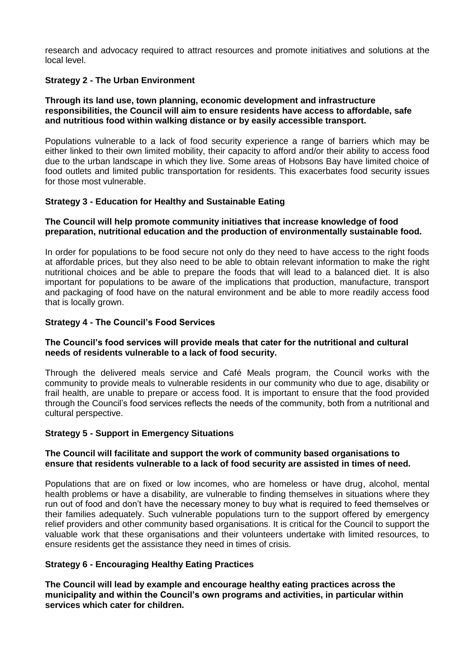research and advocacy required to attract resources and promote initiatives and solutions at the local level.

### **Strategy 2 - The Urban Environment**

#### **Through its land use, town planning, economic development and infrastructure responsibilities, the Council will aim to ensure residents have access to affordable, safe and nutritious food within walking distance or by easily accessible transport.**

Populations vulnerable to a lack of food security experience a range of barriers which may be either linked to their own limited mobility, their capacity to afford and/or their ability to access food due to the urban landscape in which they live. Some areas of Hobsons Bay have limited choice of food outlets and limited public transportation for residents. This exacerbates food security issues for those most vulnerable.

### **Strategy 3 - Education for Healthy and Sustainable Eating**

### **The Council will help promote community initiatives that increase knowledge of food preparation, nutritional education and the production of environmentally sustainable food.**

In order for populations to be food secure not only do they need to have access to the right foods at affordable prices, but they also need to be able to obtain relevant information to make the right nutritional choices and be able to prepare the foods that will lead to a balanced diet. It is also important for populations to be aware of the implications that production, manufacture, transport and packaging of food have on the natural environment and be able to more readily access food that is locally grown.

### **Strategy 4 - The Council's Food Services**

### **The Council's food services will provide meals that cater for the nutritional and cultural needs of residents vulnerable to a lack of food security.**

Through the delivered meals service and Café Meals program, the Council works with the community to provide meals to vulnerable residents in our community who due to age, disability or frail health, are unable to prepare or access food. It is important to ensure that the food provided through the Council's food services reflects the needs of the community, both from a nutritional and cultural perspective.

### **Strategy 5 - Support in Emergency Situations**

#### **The Council will facilitate and support the work of community based organisations to ensure that residents vulnerable to a lack of food security are assisted in times of need.**

Populations that are on fixed or low incomes, who are homeless or have drug, alcohol, mental health problems or have a disability, are vulnerable to finding themselves in situations where they run out of food and don't have the necessary money to buy what is required to feed themselves or their families adequately. Such vulnerable populations turn to the support offered by emergency relief providers and other community based organisations. It is critical for the Council to support the valuable work that these organisations and their volunteers undertake with limited resources, to ensure residents get the assistance they need in times of crisis.

### **Strategy 6 - Encouraging Healthy Eating Practices**

**The Council will lead by example and encourage healthy eating practices across the municipality and within the Council's own programs and activities, in particular within services which cater for children.**